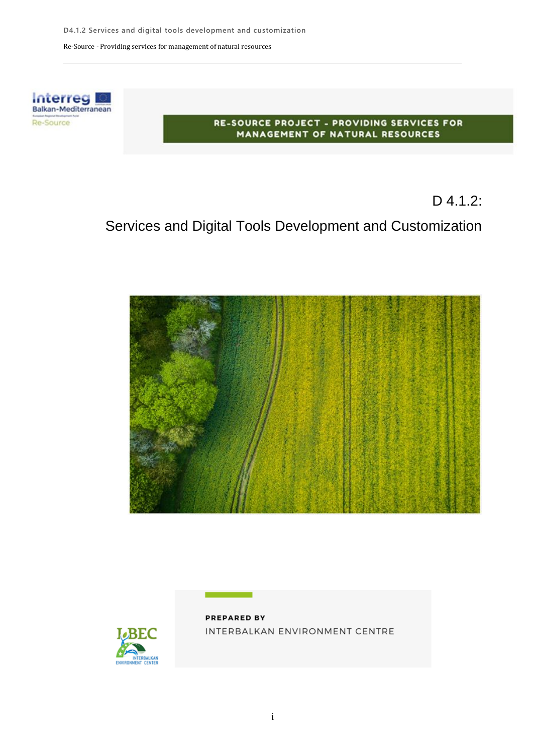

#### RE-SOURCE PROJECT - PROVIDING SERVICES FOR MANAGEMENT OF NATURAL RESOURCES

D 4.1.2:

## Services and Digital Tools Development and Customization





**PREPARED BY** INTERBALKAN ENVIRONMENT CENTRE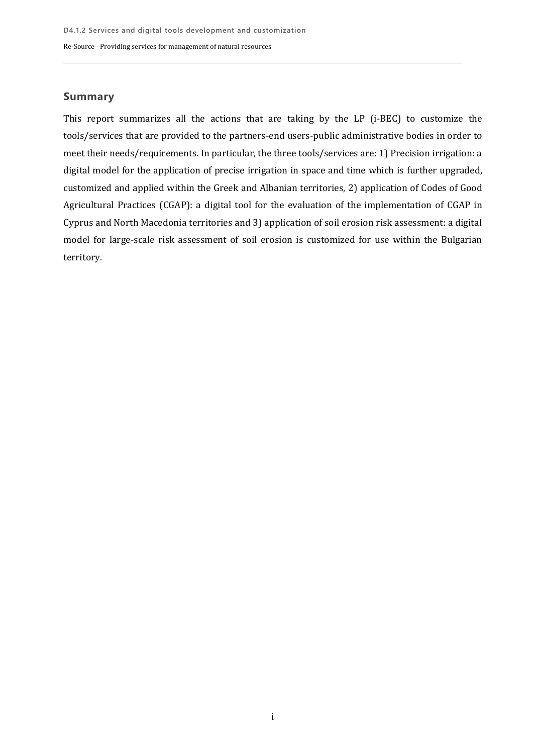### **Summary**

This report summarizes all the actions that are taking by the LP (i-BEC) to customize the tools/services that are provided to the partners-end users-public administrative bodies in order to meet their needs/requirements. In particular, the three tools/services are: 1) Precision irrigation: a digital model for the application of precise irrigation in space and time which is further upgraded, customized and applied within the Greek and Albanian territories, 2) application of Codes of Good Agricultural Practices (CGAP): a digital tool for the evaluation of the implementation of CGAP in Cyprus and North Macedonia territories and 3) application of soil erosion risk assessment: a digital model for large-scale risk assessment of soil erosion is customized for use within the Bulgarian territory.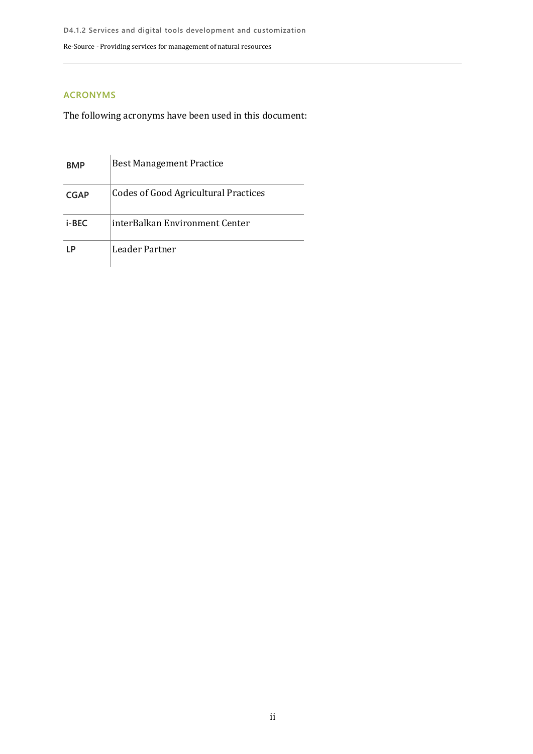### **ACRONYMS**

The following acronyms have been used in this document:

| <b>BMP</b>  | <b>Best Management Practice</b>             |
|-------------|---------------------------------------------|
| <b>CGAP</b> | <b>Codes of Good Agricultural Practices</b> |
| i-BEC       | interBalkan Environment Center              |
|             | Leader Partner                              |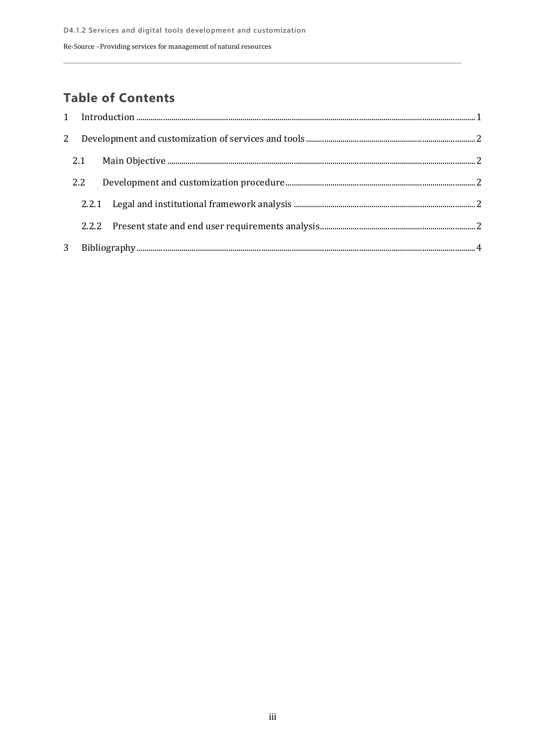## **Table of Contents**

| 2   |  |  |
|-----|--|--|
| 2.1 |  |  |
| 2.2 |  |  |
|     |  |  |
|     |  |  |
|     |  |  |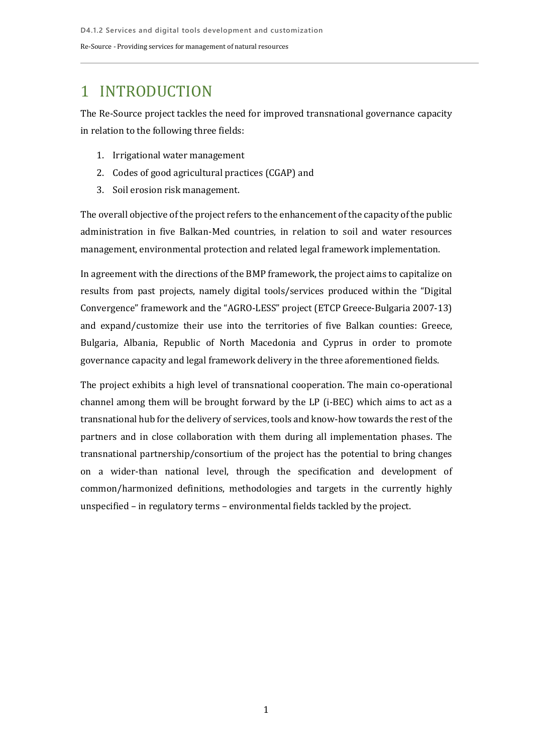## <span id="page-4-0"></span>1 INTRODUCTION

The Re-Source project tackles the need for improved transnational governance capacity in relation to the following three fields:

- 1. Irrigational water management
- 2. Codes of good agricultural practices (CGAP) and
- 3. Soil erosion risk management.

The overall objective of the project refers to the enhancement of the capacity of the public administration in five Balkan-Med countries, in relation to soil and water resources management, environmental protection and related legal framework implementation.

In agreement with the directions of the BMP framework, the project aims to capitalize on results from past projects, namely digital tools/services produced within the "Digital Convergence" framework and the "AGRO-LESS" project (ETCP Greece-Bulgaria 2007-13) and expand/customize their use into the territories of five Balkan counties: Greece, Bulgaria, Albania, Republic of North Macedonia and Cyprus in order to promote governance capacity and legal framework delivery in the three aforementioned fields.

The project exhibits a high level of transnational cooperation. The main co-operational channel among them will be brought forward by the LP (i-BEC) which aims to act as a transnational hub for the delivery of services, tools and know-how towards the rest of the partners and in close collaboration with them during all implementation phases. The transnational partnership/consortium of the project has the potential to bring changes on a wider-than national level, through the specification and development of common/harmonized definitions, methodologies and targets in the currently highly unspecified – in regulatory terms – environmental fields tackled by the project.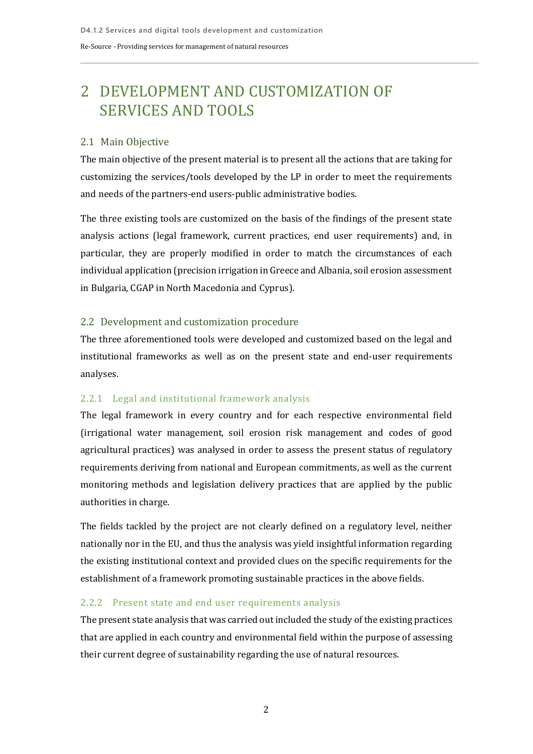# <span id="page-5-0"></span>2 DEVELOPMENT AND CUSTOMIZATION OF SERVICES AND TOOLS

### <span id="page-5-1"></span>2.1 Main Objective

The main objective of the present material is to present all the actions that are taking for customizing the services/tools developed by the LP in order to meet the requirements and needs of the partners-end users-public administrative bodies.

The three existing tools are customized on the basis of the findings of the present state analysis actions (legal framework, current practices, end user requirements) and, in particular, they are properly modified in order to match the circumstances of each individual application (precision irrigation in Greece and Albania, soil erosion assessment in Bulgaria, CGAP in North Macedonia and Cyprus).

### <span id="page-5-2"></span>2.2 Development and customization procedure

The three aforementioned tools were developed and customized based on the legal and institutional frameworks as well as on the present state and end-user requirements analyses.

### <span id="page-5-3"></span>2.2.1 Legal and institutional framework analysis

The legal framework in every country and for each respective environmental field (irrigational water management, soil erosion risk management and codes of good agricultural practices) was analysed in order to assess the present status of regulatory requirements deriving from national and European commitments, as well as the current monitoring methods and legislation delivery practices that are applied by the public authorities in charge.

The fields tackled by the project are not clearly defined on a regulatory level, neither nationally nor in the EU, and thus the analysis was yield insightful information regarding the existing institutional context and provided clues on the specific requirements for the establishment of a framework promoting sustainable practices in the above fields.

#### <span id="page-5-4"></span>2.2.2 Present state and end user requirements analysis

The present state analysis that was carried out included the study of the existing practices that are applied in each country and environmental field within the purpose of assessing their current degree of sustainability regarding the use of natural resources.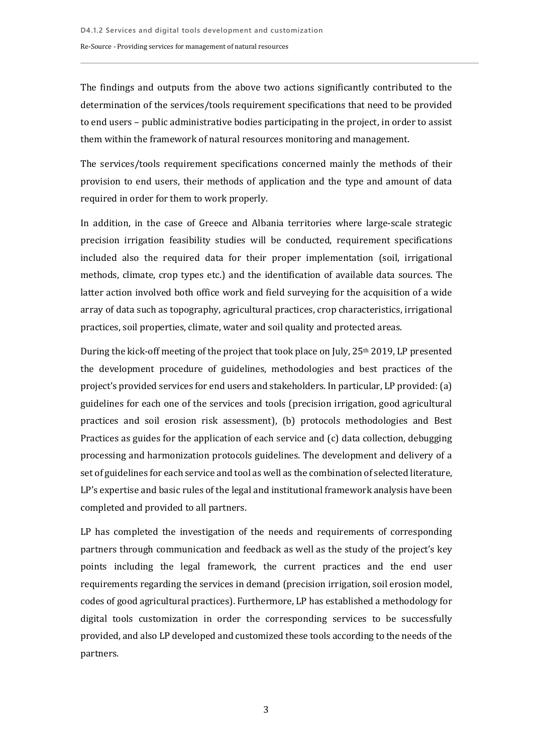The findings and outputs from the above two actions significantly contributed to the determination of the services/tools requirement specifications that need to be provided to end users – public administrative bodies participating in the project, in order to assist them within the framework of natural resources monitoring and management.

The services/tools requirement specifications concerned mainly the methods of their provision to end users, their methods of application and the type and amount of data required in order for them to work properly.

In addition, in the case of Greece and Albania territories where large-scale strategic precision irrigation feasibility studies will be conducted, requirement specifications included also the required data for their proper implementation (soil, irrigational methods, climate, crop types etc.) and the identification of available data sources. The latter action involved both office work and field surveying for the acquisition of a wide array of data such as topography, agricultural practices, crop characteristics, irrigational practices, soil properties, climate, water and soil quality and protected areas.

During the kick-off meeting of the project that took place on July, 25<sup>th</sup> 2019, LP presented the development procedure of guidelines, methodologies and best practices of the project's provided services for end users and stakeholders. In particular, LP provided: (a) guidelines for each one of the services and tools (precision irrigation, good agricultural practices and soil erosion risk assessment), (b) protocols methodologies and Best Practices as guides for the application of each service and (c) data collection, debugging processing and harmonization protocols guidelines. The development and delivery of a set of guidelines for each service and tool as well as the combination of selected literature, LP's expertise and basic rules of the legal and institutional framework analysis have been completed and provided to all partners.

LP has completed the investigation of the needs and requirements of corresponding partners through communication and feedback as well as the study of the project's key points including the legal framework, the current practices and the end user requirements regarding the services in demand (precision irrigation, soil erosion model, codes of good agricultural practices). Furthermore, LP has established a methodology for digital tools customization in order the corresponding services to be successfully provided, and also LP developed and customized these tools according to the needs of the partners.